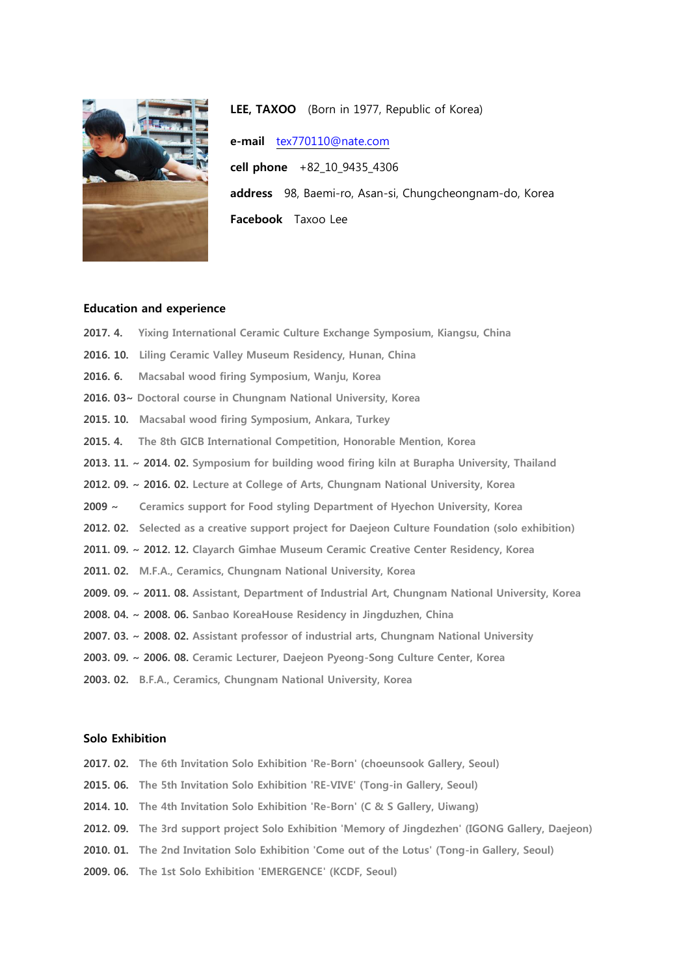

LEE, TAXOO (Born in 1977, Republic of Korea) e-mail [tex770110@nate.com](mailto:tex770110@nate.com) cell phone +82\_10\_9435\_4306 address 98, Baemi-ro, Asan-si, Chungcheongnam-do, Korea Facebook Taxoo Lee

## Education and experience

- 2017. 4. Yixing International Ceramic Culture Exchange Symposium, Kiangsu, China
- 2016. 10. Liling Ceramic Valley Museum Residency, Hunan, China
- 2016. 6. Macsabal wood firing Symposium, Wanju, Korea
- 2016. 03~ Doctoral course in Chungnam National University, Korea
- 2015. 10. Macsabal wood firing Symposium, Ankara, Turkey
- 2015. 4. The 8th GICB International Competition, Honorable Mention, Korea
- 2013. 11. ~ 2014. 02. Symposium for building wood firing kiln at Burapha University, Thailand
- 2012. 09. ~ 2016. 02. Lecture at College of Arts, Chungnam National University, Korea
- 2009 ~ Ceramics support for Food styling Department of Hyechon University, Korea
- 2012. 02. Selected as a creative support project for Daejeon Culture Foundation (solo exhibition)
- 2011. 09. ~ 2012. 12. Clayarch Gimhae Museum Ceramic Creative Center Residency, Korea
- 2011. 02. M.F.A., Ceramics, Chungnam National University, Korea
- 2009. 09. ~ 2011. 08. Assistant, Department of Industrial Art, Chungnam National University, Korea
- 2008. 04. ~ 2008. 06. Sanbao KoreaHouse Residency in Jingduzhen, China
- 2007. 03. ~ 2008. 02. Assistant professor of industrial arts, Chungnam National University
- 2003. 09. ~ 2006. 08. Ceramic Lecturer, Daejeon Pyeong-Song Culture Center, Korea
- 2003. 02. B.F.A., Ceramics, Chungnam National University, Korea

## Solo Exhibition

- 2017. 02. The 6th Invitation Solo Exhibition 'Re-Born' (choeunsook Gallery, Seoul)
- 2015. 06. The 5th Invitation Solo Exhibition 'RE-VIVE' (Tong-in Gallery, Seoul)
- 2014. 10. The 4th Invitation Solo Exhibition 'Re-Born' (C & S Gallery, Uiwang)
- 2012. 09. The 3rd support project Solo Exhibition 'Memory of Jingdezhen' (IGONG Gallery, Daejeon)
- 2010. 01. The 2nd Invitation Solo Exhibition 'Come out of the Lotus' (Tong-in Gallery, Seoul)
- 2009. 06. The 1st Solo Exhibition 'EMERGENCE' (KCDF, Seoul)